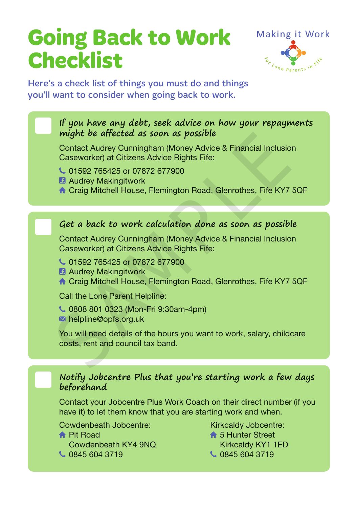# **Going Back to Work Checklist**



Here's a check list of things you must do and things you'll want to consider when going back to work.

### If you have any debt, seek advice on how your repayments **might be affected as soon as possible**

Contact Audrey Cunningham (Money Advice & Financial Inclusion Caseworker) at Citizens Advice Rights Fife: Contact Audrey Cunningham (Money Advice & Financial Inclusion<br>Caseworker) at Citizens Advice Rights Fife:<br>Caseworker) at Citizens Advice Rights Fife:<br>Contact Audrey Makingitwork<br>A Craig Mitchell House, Flemington Road, Gle

- 01592 765425 or 07872 677900
- **Audrey Makingitwork**
- ↸ Craig Mitchell House, Flemington Road, Glenrothes, Fife KY7 5QF

### Get a back to work calculation done as soon as possible

Contact Audrey Cunningham (Money Advice & Financial Inclusion Caseworker) at Citizens Advice Rights Fife:

- C 01592 765425 or 07872 677900
- **B** Audrey Makingitwork
- ↸ Craig Mitchell House, Flemington Road, Glenrothes, Fife KY7 5QF

Call the Lone Parent Helpline:

- 0808 801 0323 (Mon-Fri 9:30am-4pm)
- helpline@opfs.org.uk

You will need details of the hours you want to work, salary, childcare costs, rent and council tax band.

### n **Notify Jobcentre Plus that you're starting work a few days beforehand**

Contact your Jobcentre Plus Work Coach on their direct number (if you have it) to let them know that you are starting work and when.

Cowdenbeath Jobcentre:

**← Pit Road** Cowdenbeath KY4 9NQ C 0845 604 3719

Kirkcaldy Jobcentre:

- **↑ 5 Hunter Street** 
	- Kirkcaldy KY1 1ED
- 0845 604 3719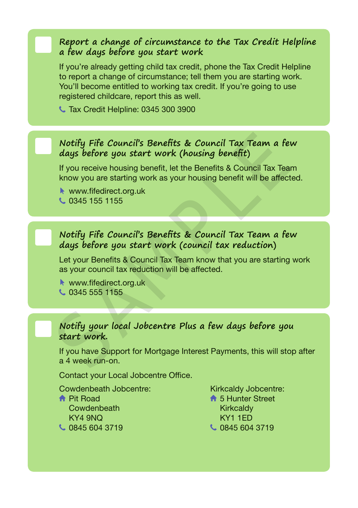### n **Report a change of circumstance to the Tax Credit Helpline a few days before you start work**

If you're already getting child tax credit, phone the Tax Credit Helpline to report a change of circumstance; tell them you are starting work. You'll become entitled to working tax credit. If you're going to use registered childcare, report this as well.

**L** Tax Credit Helpline: 0345 300 3900

### n **Notify Fife Council's Benefits & Council Tax Team <sup>a</sup> few days before you start work (housing benefit)**

If you receive housing benefit, let the Benefits & Council Tax Team know you are starting work as your housing benefit will be affected.

www.fifedirect.org.uk

C 0345 155 1155

# n **Notify Fife Council's Benefits & Council Tax Team <sup>a</sup> few days before you start work (council tax reduction)** Notify Fife Council's Benefits & Council Tax Team a fe<br>days before you start work (housing benefit)<br>If you receive housing benefit, let the Benefits & Council Tax Tea<br>know you are starting work as your housing benefit will

Let your Benefits & Council Tax Team know that you are starting work as your council tax reduction will be affected.

www.fifedirect.org.uk

0345 555 1155

### n **Notify your local Jobcentre Plus a few days before you start work.**

If you have Support for Mortgage Interest Payments, this will stop after a 4 week run-on.

Contact your Local Jobcentre Office.

Cowdenbeath Jobcentre: **A** Pit Road **Cowdenbeath** KY4 9NQ 0845 604 3719

Kirkcaldy Jobcentre: **↑ 5 Hunter Street Kirkcaldy** KY1 1ED C 0845 604 3719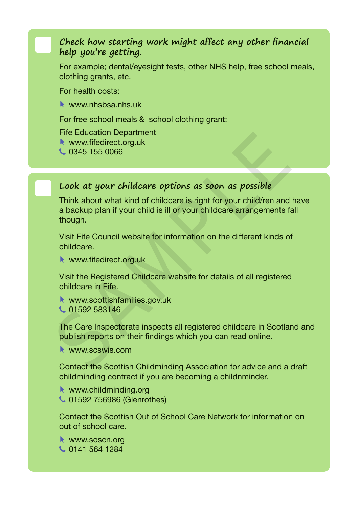## n **Check how starting work might affect any other financial help you're getting.**

For example; dental/eyesight tests, other NHS help, free school meals, clothing grants, etc.

For health costs:

www.nhshsa.nhs.uk

For free school meals & school clothing grant:

Fife Education Department

www.fifedirect.org.uk

0345 155 0066

# Look at your childcare options as soon as possible

Think about what kind of childcare is right for your child/ren and have a backup plan if your child is ill or your childcare arrangements fall though. Netwoods and the Scottish Childmining association for advice and a<br>network of the Scottish Childminical Scottish Children and a backup plan if your child is ill or your child/cene arrangements<br>though.<br>Visit Fife Council we

Visit Fife Council website for information on the different kinds of childcare.

www.fifedirect.org.uk

Visit the Registered Childcare website for details of all registered childcare in Fife.

- www.scottishfamilies.gov.uk
- C 01592 583146

The Care Inspectorate inspects all registered childcare in Scotland and publish reports on their findings which you can read online.

**WWW.SCSWIS.COM** 

Contact the Scottish Childminding Association for advice and a draft childminding contract if you are becoming a childnminder.

www.childminding.org 01592 756986 (Glenrothes)

Contact the Scottish Out of School Care Network for information on out of school care.

www.soscn.org 0141 564 1284